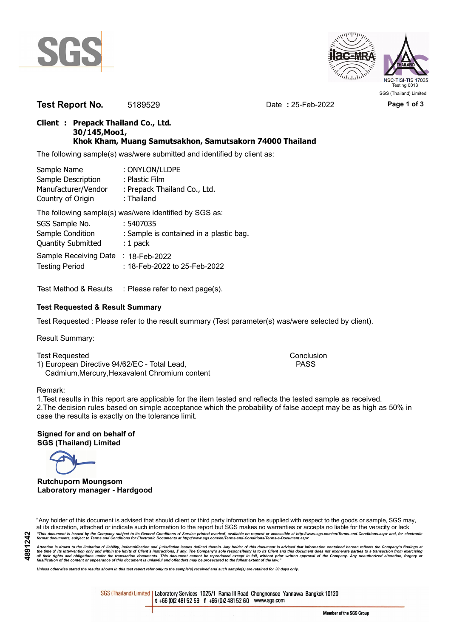



**Test Report No.** 5189529 Date **:** 25-Feb-2022 **Page 1 of 3**

## **Client : Prepack Thailand Co., Ltd. 30/145,Moo1, Khok Kham, Muang Samutsakhon, Samutsakorn 74000 Thailand**

The following sample(s) was/were submitted and identified by client as:

| Sample Name         | : ONYLON/LLDPE               |
|---------------------|------------------------------|
| Sample Description  | : Plastic Film               |
| Manufacturer/Vendor | : Prepack Thailand Co., Ltd. |
| Country of Origin   | : Thailand                   |

The following sample(s) was/were identified by SGS as:

| SGS Sample No.                      | :5407035                                |
|-------------------------------------|-----------------------------------------|
| Sample Condition                    | : Sample is contained in a plastic bag. |
| <b>Quantity Submitted</b>           | $: 1$ pack                              |
| Sample Receiving Date : 18-Feb-2022 |                                         |
| <b>Testing Period</b>               | : 18-Feb-2022 to 25-Feb-2022            |

Test Method & Results : Please refer to next page(s).

# **Test Requested & Result Summary**

Test Requested : Please refer to the result summary (Test parameter(s) was/were selected by client).

Result Summary:

Test Requested **Conclusion** Conclusion 1) European Directive 94/62/EC - Total Lead, PASS Cadmium,Mercury,Hexavalent Chromium content

#### Remark:

1.Test results in this report are applicable for the item tested and reflects the tested sample as received. 2.The decision rules based on simple acceptance which the probability of false accept may be as high as 50% in case the results is exactly on the tolerance limit.

**Signed for and on behalf of SGS (Thailand) Limited**

**Rutchuporn Moungsom Laboratory manager - Hardgood**

"Any holder of this document is advised that should client or third party information be supplied with respect to the goods or sample, SGS may, at its discretion, attached or indicate such information to the report but SGS makes no warranties or accepts no liable for the veracity or lack "This document is issued by the Company subject to its General Conditions of Service printed overleaf, available on request or accessible at http://www.sgs.com/en/Terms-and-Conditions.aspx and, for electronic<br>format docume

Attention is drawn to the limitation of liability, indemnification and jurisdiction issues defined therein. Any holder of this document is advised that information contained hereon reflects the Company's findings at<br>all th

*Unless otherwise stated the results shown in this test report refer only to the sample(s) received and such sample(s) are retained for 30 days only.*

SGS (Thailand) Limited | Laboratory Services 1025/1 Rama III Road Chongnonsee Yannawa Bangkok 10120 t +66 (0)2 481 52 59 f +66 (0)2 481 52 60 www.sgs.com

Member of the SGS Group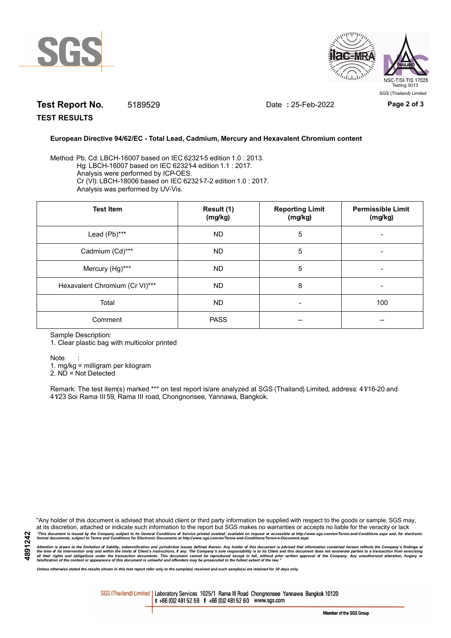



# **Test Report No.** 5189529 Date **:** 25-Feb-2022 **Page 2 of 3**

**TEST RESULTS**

## **European Directive 94/62/EC - Total Lead, Cadmium, Mercury and Hexavalent Chromium content**

Method: Pb, Cd: LBCH-16007 based on IEC 62321-5 edition 1.0 : 2013. Hg: LBCH-16007 based on IEC 62321-4 edition 1.1 : 2017. Analysis were performed by ICP-OES. Cr (VI): LBCH-18006 based on IEC 62321-7-2 edition 1.0 : 2017. Analysis was performed by UV-Vis.

| <b>Test Item</b>               | Result (1)<br>(mg/kg) | <b>Reporting Limit</b><br>(mg/kg) | <b>Permissible Limit</b><br>(mg/kg) |
|--------------------------------|-----------------------|-----------------------------------|-------------------------------------|
| Lead (Pb)***                   | <b>ND</b>             | 5                                 |                                     |
| Cadmium (Cd)***                | <b>ND</b>             | 5                                 |                                     |
| Mercury (Hg)***                | <b>ND</b>             | 5                                 |                                     |
| Hexavalent Chromium (Cr VI)*** | <b>ND</b>             | 8                                 |                                     |
| Total                          | <b>ND</b>             | $\overline{\phantom{a}}$          | 100                                 |
| Comment                        | <b>PASS</b>           | --                                |                                     |

Sample Description:

1. Clear plastic bag with multicolor printed

Note :

1. mg/kg = milligram per kilogram

2. ND = Not Detected

Remark: The test item(s) marked \*\*\* on test report is/are analyzed at SGS (Thailand) Limited, address: 41/16-20 and 41/23 Soi Rama III 59, Rama III road, Chongnonsee, Yannawa, Bangkok.

"Any holder of this document is advised that should client or third party information be supplied with respect to the goods or sample, SGS may, at its discretion, attached or indicate such information to the report but SGS makes no warranties or accepts no liable for the veracity or lack "This document is issued by the Company subject to its General Conditions of Service printed overleaf, available on request or accessible at http://www.sgs.com/en/Terms-and-Conditions.aspx and, for electronic<br>format docume

Attention is drawn to the limitation of liability, indemnification and jurisdiction issues defined therein. Any holder of this document is advised that information contained hereon reflects the Company's findings at<br>all th

*Unless otherwise stated the results shown in this test report refer only to the sample(s) received and such sample(s) are retained for 30 days only.*

SGS (Thailand) Limited | Laboratory Services 1025/1 Rama III Road Chongnonsee Yannawa Bangkok 10120 t +66 (0)2 481 52 59 f +66 (0)2 481 52 60 www.sgs.com